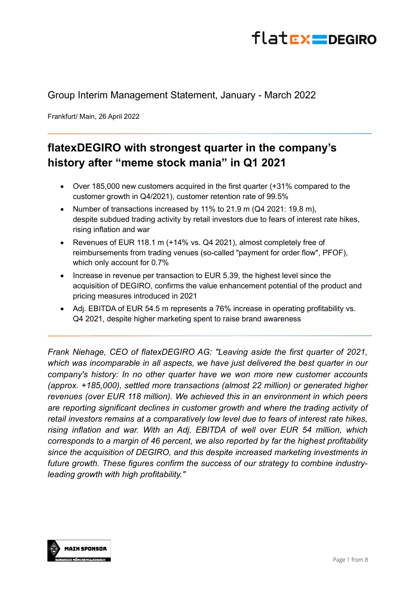## flatrx=DEGIRO

## Group Interim Management Statement, January - March 2022

Frankfurt/ Main, 26 April 2022

## **flatexDEGIRO with strongest quarter in the company's history after "meme stock mania" in Q1 2021**

- Over 185,000 new customers acquired in the first quarter (+31% compared to the customer growth in Q4/2021), customer retention rate of 99.5%
- Number of transactions increased by 11% to 21.9 m (Q4 2021: 19.8 m), despite subdued trading activity by retail investors due to fears of interest rate hikes, rising inflation and war
- Revenues of EUR 118.1 m (+14% vs. Q4 2021), almost completely free of reimbursements from trading venues (so-called "payment for order flow", PFOF), which only account for 0.7%
- Increase in revenue per transaction to EUR 5.39, the highest level since the acquisition of DEGIRO, confirms the value enhancement potential of the product and pricing measures introduced in 2021
- Adj. EBITDA of EUR 54.5 m represents a 76% increase in operating profitability vs. Q4 2021, despite higher marketing spent to raise brand awareness

*Frank Niehage, CEO of flatexDEGIRO AG: "Leaving aside the first quarter of 2021, which was incomparable in all aspects, we have just delivered the best quarter in our company's history: In no other quarter have we won more new customer accounts (approx. +185,000), settled more transactions (almost 22 million) or generated higher revenues (over EUR 118 million). We achieved this in an environment in which peers are reporting significant declines in customer growth and where the trading activity of retail investors remains at a comparatively low level due to fears of interest rate hikes, rising inflation and war. With an Adj. EBITDA of well over EUR 54 million, which corresponds to a margin of 46 percent, we also reported by far the highest profitability since the acquisition of DEGIRO, and this despite increased marketing investments in future growth. These figures confirm the success of our strategy to combine industryleading growth with high profitability."* 

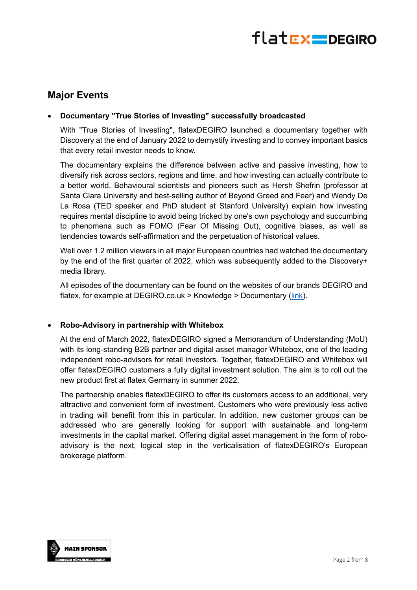

### **Major Events**

#### • **Documentary "True Stories of Investing" successfully broadcasted**

With "True Stories of Investing", flatexDEGIRO launched a documentary together with Discovery at the end of January 2022 to demystify investing and to convey important basics that every retail investor needs to know.

The documentary explains the difference between active and passive investing, how to diversify risk across sectors, regions and time, and how investing can actually contribute to a better world. Behavioural scientists and pioneers such as Hersh Shefrin (professor at Santa Clara University and best-selling author of Beyond Greed and Fear) and Wendy De La Rosa (TED speaker and PhD student at Stanford University) explain how investing requires mental discipline to avoid being tricked by one's own psychology and succumbing to phenomena such as FOMO (Fear Of Missing Out), cognitive biases, as well as tendencies towards self-affirmation and the perpetuation of historical values.

Well over 1.2 million viewers in all major European countries had watched the documentary by the end of the first quarter of 2022, which was subsequently added to the Discovery+ media library.

All episodes of the documentary can be found on the websites of our brands DEGIRO and flatex, for example at DEGIRO.co.uk > Knowledge > Documentary (link).

#### • **Robo-Advisory in partnership with Whitebox**

At the end of March 2022, flatexDEGIRO signed a Memorandum of Understanding (MoU) with its long-standing B2B partner and digital asset manager Whitebox, one of the leading independent robo-advisors for retail investors. Together, flatexDEGIRO and Whitebox will offer flatexDEGIRO customers a fully digital investment solution. The aim is to roll out the new product first at flatex Germany in summer 2022.

The partnership enables flatexDEGIRO to offer its customers access to an additional, very attractive and convenient form of investment. Customers who were previously less active in trading will benefit from this in particular. In addition, new customer groups can be addressed who are generally looking for support with sustainable and long-term investments in the capital market. Offering digital asset management in the form of roboadvisory is the next, logical step in the verticalisation of flatexDEGIRO's European brokerage platform.

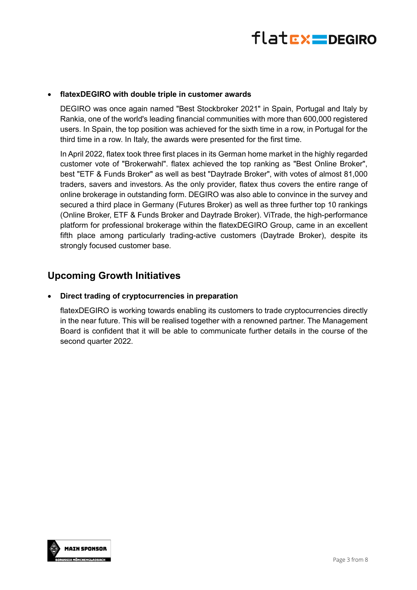

#### • **flatexDEGIRO with double triple in customer awards**

DEGIRO was once again named "Best Stockbroker 2021" in Spain, Portugal and Italy by Rankia, one of the world's leading financial communities with more than 600,000 registered users. In Spain, the top position was achieved for the sixth time in a row, in Portugal for the third time in a row. In Italy, the awards were presented for the first time.

In April 2022, flatex took three first places in its German home market in the highly regarded customer vote of "Brokerwahl". flatex achieved the top ranking as "Best Online Broker", best "ETF & Funds Broker" as well as best "Daytrade Broker", with votes of almost 81,000 traders, savers and investors. As the only provider, flatex thus covers the entire range of online brokerage in outstanding form. DEGIRO was also able to convince in the survey and secured a third place in Germany (Futures Broker) as well as three further top 10 rankings (Online Broker, ETF & Funds Broker and Daytrade Broker). ViTrade, the high-performance platform for professional brokerage within the flatexDEGIRO Group, came in an excellent fifth place among particularly trading-active customers (Daytrade Broker), despite its strongly focused customer base.

### **Upcoming Growth Initiatives**

#### • **Direct trading of cryptocurrencies in preparation**

flatexDEGIRO is working towards enabling its customers to trade cryptocurrencies directly in the near future. This will be realised together with a renowned partner. The Management Board is confident that it will be able to communicate further details in the course of the second quarter 2022.

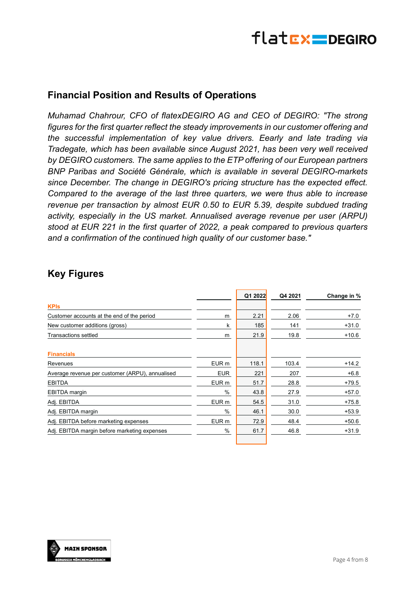

### **Financial Position and Results of Operations**

*Muhamad Chahrour, CFO of flatexDEGIRO AG and CEO of DEGIRO: "The strong figures for the first quarter reflect the steady improvements in our customer offering and the successful implementation of key value drivers. Eearly and late trading via Tradegate, which has been available since August 2021, has been very well received by DEGIRO customers. The same applies to the ETP offering of our European partners BNP Paribas and Société Générale, which is available in several DEGIRO-markets since December. The change in DEGIRO's pricing structure has the expected effect. Compared to the average of the last three quarters, we were thus able to increase revenue per transaction by almost EUR 0.50 to EUR 5.39, despite subdued trading activity, especially in the US market. Annualised average revenue per user (ARPU) stood at EUR 221 in the first quarter of 2022, a peak compared to previous quarters and a confirmation of the continued high quality of our customer base."* 

## **Key Figures**

|               | Q1 2022 | Q4 2021 | Change in % |
|---------------|---------|---------|-------------|
|               |         |         |             |
| m             | 2.21    | 2.06    | $+7.0$      |
| k             | 185     | 141     | $+31.0$     |
| m             | 21.9    | 19.8    | $+10.6$     |
|               |         |         |             |
| EUR m         | 118.1   | 103.4   | $+14.2$     |
| <b>EUR</b>    | 221     | 207     | $+6.8$      |
| EUR m         | 51.7    | 28.8    | $+79.5$     |
| %             | 43.8    | 27.9    | $+57.0$     |
| EUR m         | 54.5    | 31.0    | $+75.8$     |
| $\frac{0}{0}$ | 46.1    | 30.0    | $+53.9$     |
| EUR m         | 72.9    | 48.4    | $+50.6$     |
| %             | 61.7    | 46.8    | $+31.9$     |
|               |         |         |             |

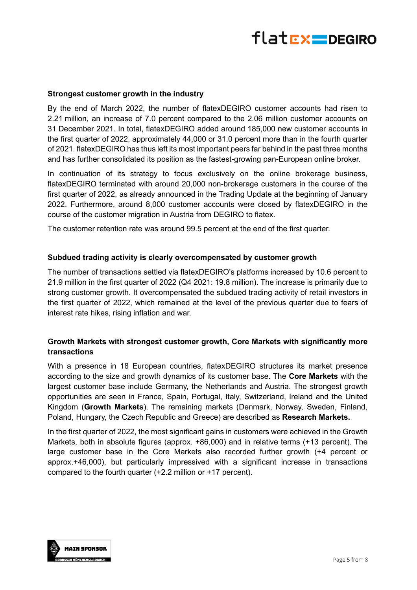

#### **Strongest customer growth in the industry**

By the end of March 2022, the number of flatexDEGIRO customer accounts had risen to 2.21 million, an increase of 7.0 percent compared to the 2.06 million customer accounts on 31 December 2021. In total, flatexDEGIRO added around 185,000 new customer accounts in the first quarter of 2022, approximately 44,000 or 31.0 percent more than in the fourth quarter of 2021. flatexDEGIRO has thus left its most important peers far behind in the past three months and has further consolidated its position as the fastest-growing pan-European online broker.

In continuation of its strategy to focus exclusively on the online brokerage business, flatexDEGIRO terminated with around 20,000 non-brokerage customers in the course of the first quarter of 2022, as already announced in the Trading Update at the beginning of January 2022. Furthermore, around 8,000 customer accounts were closed by flatexDEGIRO in the course of the customer migration in Austria from DEGIRO to flatex.

The customer retention rate was around 99.5 percent at the end of the first quarter.

#### **Subdued trading activity is clearly overcompensated by customer growth**

The number of transactions settled via flatexDEGIRO's platforms increased by 10.6 percent to 21.9 million in the first quarter of 2022 (Q4 2021: 19.8 million). The increase is primarily due to strong customer growth. It overcompensated the subdued trading activity of retail investors in the first quarter of 2022, which remained at the level of the previous quarter due to fears of interest rate hikes, rising inflation and war.

#### **Growth Markets with strongest customer growth, Core Markets with significantly more transactions**

With a presence in 18 European countries, flatexDEGIRO structures its market presence according to the size and growth dynamics of its customer base. The **Core Markets** with the largest customer base include Germany, the Netherlands and Austria. The strongest growth opportunities are seen in France, Spain, Portugal, Italy, Switzerland, Ireland and the United Kingdom (**Growth Markets**). The remaining markets (Denmark, Norway, Sweden, Finland, Poland, Hungary, the Czech Republic and Greece) are described as **Research Markets.**

In the first quarter of 2022, the most significant gains in customers were achieved in the Growth Markets, both in absolute figures (approx. +86,000) and in relative terms (+13 percent). The large customer base in the Core Markets also recorded further growth (+4 percent or approx.+46,000), but particularly impressived with a significant increase in transactions compared to the fourth quarter (+2.2 million or +17 percent).

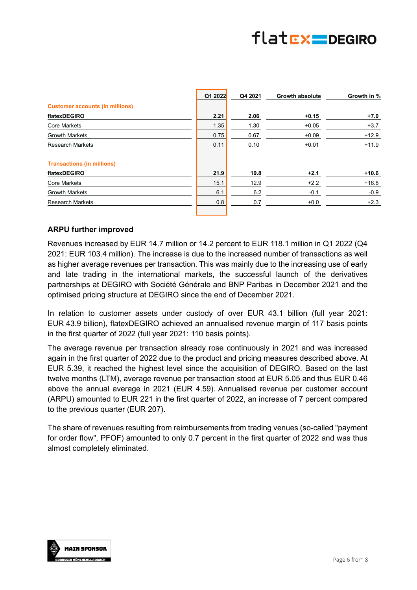## flatrx pegiro

|                                        | Q1 2022 | Q4 2021 | <b>Growth absolute</b> | Growth in % |
|----------------------------------------|---------|---------|------------------------|-------------|
| <b>Customer accounts (in millions)</b> |         |         |                        |             |
| flatexDEGIRO                           | 2.21    | 2.06    | $+0.15$                | $+7.0$      |
| <b>Core Markets</b>                    | 1.35    | 1.30    | $+0.05$                | $+3.7$      |
| <b>Growth Markets</b>                  | 0.75    | 0.67    | $+0.09$                | $+12.9$     |
| <b>Research Markets</b>                | 0.11    | 0.10    | $+0.01$                | $+11.9$     |
| <b>Transactions (in millions)</b>      |         |         |                        |             |
| flatexDEGIRO                           | 21.9    | 19.8    | $+2.1$                 | $+10.6$     |
| <b>Core Markets</b>                    | 15.1    | 12.9    | $+2.2$                 | $+16.8$     |
| <b>Growth Markets</b>                  | 6.1     | 6.2     | $-0.1$                 | $-0.9$      |
| <b>Research Markets</b>                | 0.8     | 0.7     | $+0.0$                 | $+2.3$      |

#### **ARPU further improved**

Revenues increased by EUR 14.7 million or 14.2 percent to EUR 118.1 million in Q1 2022 (Q4 2021: EUR 103.4 million). The increase is due to the increased number of transactions as well as higher average revenues per transaction. This was mainly due to the increasing use of early and late trading in the international markets, the successful launch of the derivatives partnerships at DEGIRO with Société Générale and BNP Paribas in December 2021 and the optimised pricing structure at DEGIRO since the end of December 2021.

In relation to customer assets under custody of over EUR 43.1 billion (full year 2021: EUR 43.9 billion), flatexDEGIRO achieved an annualised revenue margin of 117 basis points in the first quarter of 2022 (full year 2021: 110 basis points).

The average revenue per transaction already rose continuously in 2021 and was increased again in the first quarter of 2022 due to the product and pricing measures described above. At EUR 5.39, it reached the highest level since the acquisition of DEGIRO. Based on the last twelve months (LTM), average revenue per transaction stood at EUR 5.05 and thus EUR 0.46 above the annual average in 2021 (EUR 4.59). Annualised revenue per customer account (ARPU) amounted to EUR 221 in the first quarter of 2022, an increase of 7 percent compared to the previous quarter (EUR 207).

The share of revenues resulting from reimbursements from trading venues (so-called "payment for order flow", PFOF) amounted to only 0.7 percent in the first quarter of 2022 and was thus almost completely eliminated.

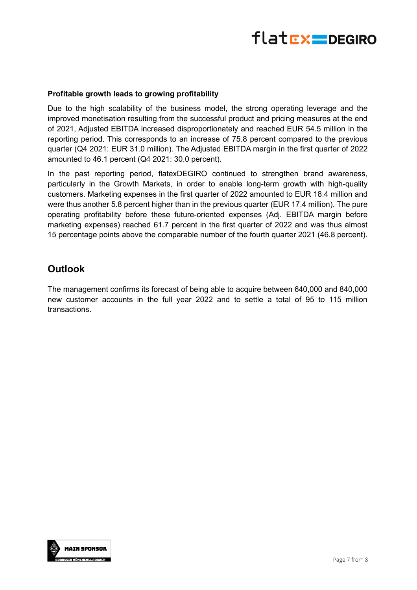

#### **Profitable growth leads to growing profitability**

Due to the high scalability of the business model, the strong operating leverage and the improved monetisation resulting from the successful product and pricing measures at the end of 2021, Adjusted EBITDA increased disproportionately and reached EUR 54.5 million in the reporting period. This corresponds to an increase of 75.8 percent compared to the previous quarter (Q4 2021: EUR 31.0 million). The Adjusted EBITDA margin in the first quarter of 2022 amounted to 46.1 percent (Q4 2021: 30.0 percent).

In the past reporting period, flatexDEGIRO continued to strengthen brand awareness, particularly in the Growth Markets, in order to enable long-term growth with high-quality customers. Marketing expenses in the first quarter of 2022 amounted to EUR 18.4 million and were thus another 5.8 percent higher than in the previous quarter (EUR 17.4 million). The pure operating profitability before these future-oriented expenses (Adj. EBITDA margin before marketing expenses) reached 61.7 percent in the first quarter of 2022 and was thus almost 15 percentage points above the comparable number of the fourth quarter 2021 (46.8 percent).

## **Outlook**

The management confirms its forecast of being able to acquire between 640,000 and 840,000 new customer accounts in the full year 2022 and to settle a total of 95 to 115 million transactions.